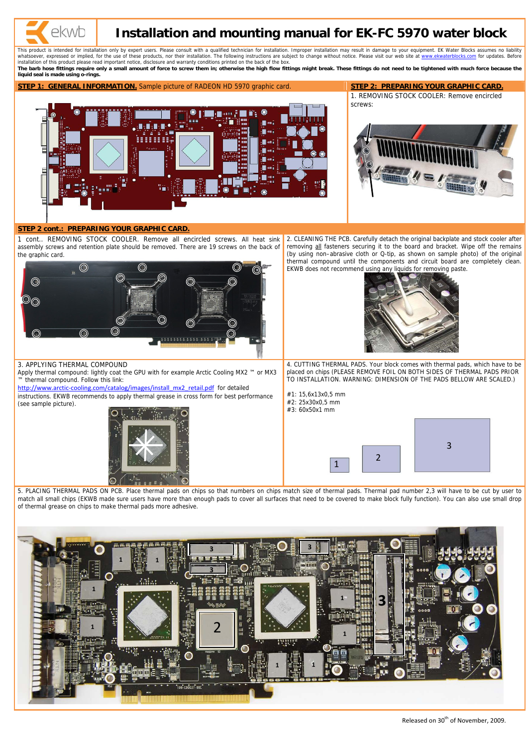

# **Installation and mounting manual for EK-FC 5970 water block**

This product is intended for installation only by expert users. Please consult with a qualified technician for installation. Improper installation may result in damage to your equipment. EK Water Blocks assumes no liabilit whatsoever, expressed or implied, for the use of these products, nor their installation. The following instructions are subject to change without notice. Please visit our web site at [www.ekwaterblocks.com](http://www.ekwaterblocks.com/) for updates. Befo installation of this product please read important notice, disclosure and warranty conditions printed on the back of the box.

The barb hose fittings require only a small amount of force to screw them in; otherwise the high flow fittings might break. These fittings do not need to be tightened with much force because the **liquid seal is made using o-rings.**

Apply thermal compound: lightly coat the GPU with for example Arctic Cooling MX2 ™ or MX3 ™ thermal compound. Follow this link:

**STEP 1: GENERAL INFORMATION.** Sample picture of RADEON HD 5970 graphic card. **STEP 2: PREPARING YOUR GRAPHIC CARD.**



1. REMOVING STOCK COOLER: Remove encircled screws:

http://www.arctic-[cooling.com/catalog/images/install\\_mx2\\_retail.pdf](http://www.arctic-cooling.com/catalog/images/install_mx2_retail.pdf) for detailed instructions. EKWB recommends to apply thermal grease in cross form for best performance (see sample picture).



# **STEP 2 cont.: PREPARING YOUR GRAPHIC CARD.**

1 cont.. REMOVING STOCK COOLER. Remove all encircled screws. All heat sink assembly screws and retention plate should be removed. There are 19 screws on the back of the graphic card.



2. CLEANING THE PCB. Carefully detach the original backplate and stock cooler after removing all fasteners securing it to the board and bracket. Wipe off the remains (by using non–abrasive cloth or Q-tip, as shown on sample photo) of the original thermal compound until the components and circuit board are completely clean. EKWB does not recommend using any liquids for removing paste.



#### 3. APPLYING THERMAL COMPOUND

4. CUTTING THERMAL PADS. Your block comes with thermal pads, which have to be placed on chips (PLEASE REMOVE FOIL ON BOTH SIDES OF THERMAL PADS PRIOR TO INSTALLATION. WARNING: DIMENSION OF THE PADS BELLOW ARE SCALED.)

#1: 15,6x13x0,5 mm #2: 25x30x0,5 mm #3: 60x50x1 mm

5. PLACING THERMAL PADS ON PCB. Place thermal pads on chips so that numbers on chips match size of thermal pads. Thermal pad number 2,3 will have to be cut by user to match all small chips (EKWB made sure users have more than enough pads to cover all surfaces that need to be covered to make block fully function). You can also use small drop of thermal grease on chips to make thermal pads more adhesive.



2

1



Released on 30<sup>th</sup> of November, 2009.